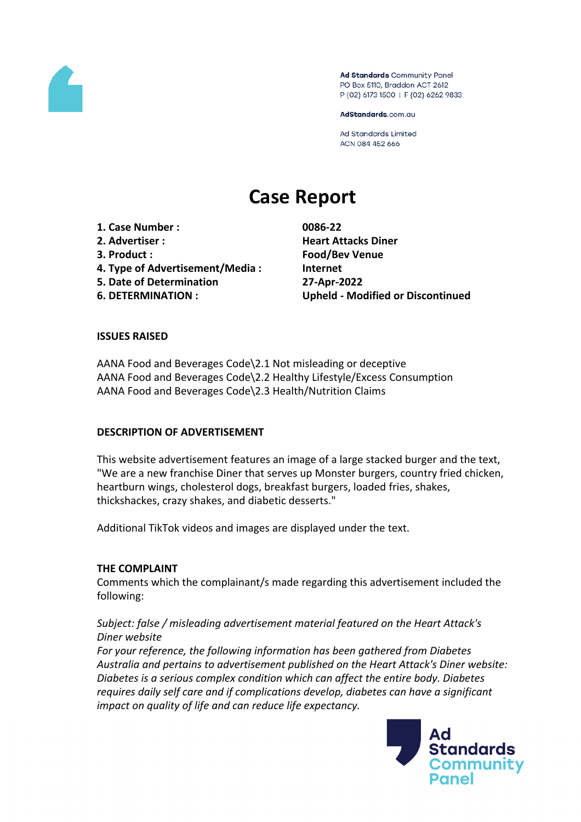

Ad Standards Community Panel PO Box 5110, Braddon ACT 2612 P (02) 6173 1500 | F (02) 6262 9833

AdStandards.com.au

**Ad Standards Limited** ACN 084 452 666

# **Case Report**

**1. Case Number : 0086-22 2. Advertiser : Heart Attacks Diner 3. Product : Food/Bev Venue 4. Type of Advertisement/Media : Internet 5. Date of Determination 27-Apr-2022**

**6. DETERMINATION : Upheld - Modified or Discontinued**

## **ISSUES RAISED**

AANA Food and Beverages Code\2.1 Not misleading or deceptive AANA Food and Beverages Code\2.2 Healthy Lifestyle/Excess Consumption AANA Food and Beverages Code\2.3 Health/Nutrition Claims

#### **DESCRIPTION OF ADVERTISEMENT**

This website advertisement features an image of a large stacked burger and the text, "We are a new franchise Diner that serves up Monster burgers, country fried chicken, heartburn wings, cholesterol dogs, breakfast burgers, loaded fries, shakes, thickshackes, crazy shakes, and diabetic desserts."

Additional TikTok videos and images are displayed under the text.

#### **THE COMPLAINT**

Comments which the complainant/s made regarding this advertisement included the following:

# *Subject: false / misleading advertisement material featured on the Heart Attack's Diner website*

*For your reference, the following information has been gathered from Diabetes Australia and pertains to advertisement published on the Heart Attack's Diner website: Diabetes is a serious complex condition which can affect the entire body. Diabetes requires daily self care and if complications develop, diabetes can have a significant impact on quality of life and can reduce life expectancy.*

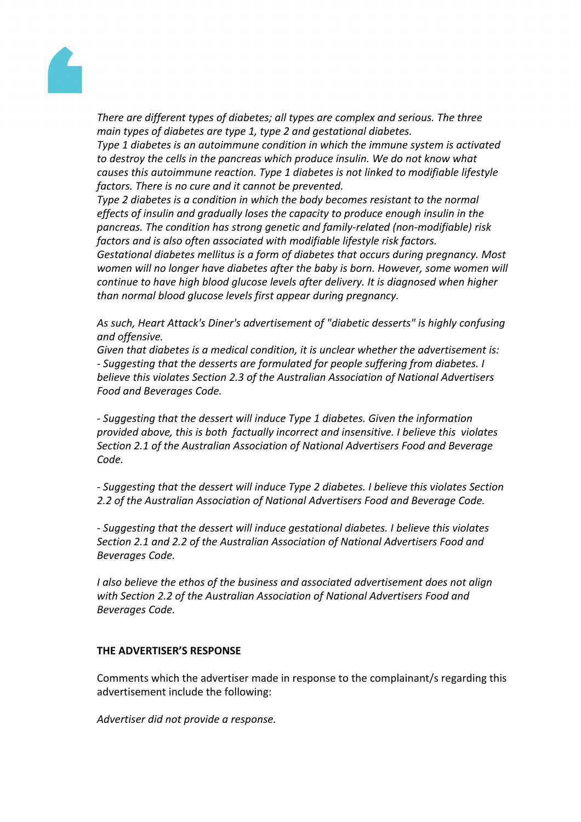

*There are different types of diabetes; all types are complex and serious. The three main types of diabetes are type 1, type 2 and gestational diabetes.*

*Type 1 diabetes is an autoimmune condition in which the immune system is activated to destroy the cells in the pancreas which produce insulin. We do not know what causes this autoimmune reaction. Type 1 diabetes is not linked to modifiable lifestyle factors. There is no cure and it cannot be prevented.*

*Type 2 diabetes is a condition in which the body becomes resistant to the normal effects of insulin and gradually loses the capacity to produce enough insulin in the pancreas. The condition has strong genetic and family-related (non-modifiable) risk factors and is also often associated with modifiable lifestyle risk factors.*

*Gestational diabetes mellitus is a form of diabetes that occurs during pregnancy. Most women will no longer have diabetes after the baby is born. However, some women will continue to have high blood glucose levels after delivery. It is diagnosed when higher than normal blood glucose levels first appear during pregnancy.*

*As such, Heart Attack's Diner's advertisement of "diabetic desserts" is highly confusing and offensive.*

*Given that diabetes is a medical condition, it is unclear whether the advertisement is: - Suggesting that the desserts are formulated for people suffering from diabetes. I believe this violates Section 2.3 of the Australian Association of National Advertisers Food and Beverages Code.*

*- Suggesting that the dessert will induce Type 1 diabetes. Given the information provided above, this is both factually incorrect and insensitive. I believe this violates Section 2.1 of the Australian Association of National Advertisers Food and Beverage Code.*

*- Suggesting that the dessert will induce Type 2 diabetes. I believe this violates Section 2.2 of the Australian Association of National Advertisers Food and Beverage Code.*

*- Suggesting that the dessert will induce gestational diabetes. I believe this violates Section 2.1 and 2.2 of the Australian Association of National Advertisers Food and Beverages Code.*

*I also believe the ethos of the business and associated advertisement does not align with Section 2.2 of the Australian Association of National Advertisers Food and Beverages Code.*

#### **THE ADVERTISER'S RESPONSE**

Comments which the advertiser made in response to the complainant/s regarding this advertisement include the following:

*Advertiser did not provide a response.*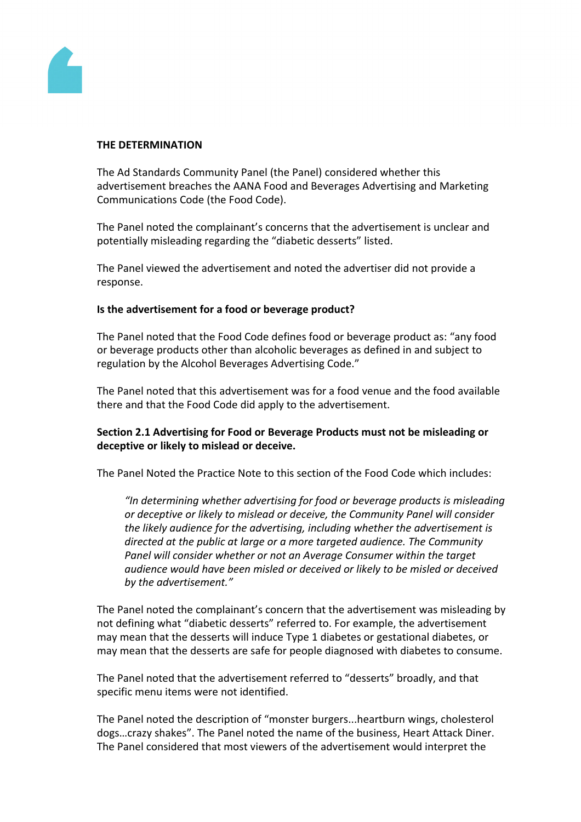

#### **THE DETERMINATION**

The Ad Standards Community Panel (the Panel) considered whether this advertisement breaches the AANA Food and Beverages Advertising and Marketing Communications Code (the Food Code).

The Panel noted the complainant's concerns that the advertisement is unclear and potentially misleading regarding the "diabetic desserts" listed.

The Panel viewed the advertisement and noted the advertiser did not provide a response.

#### **Is the advertisement for a food or beverage product?**

The Panel noted that the Food Code defines food or beverage product as: "any food or beverage products other than alcoholic beverages as defined in and subject to regulation by the Alcohol Beverages Advertising Code."

The Panel noted that this advertisement was for a food venue and the food available there and that the Food Code did apply to the advertisement.

#### **Section 2.1 Advertising for Food or Beverage Products must not be misleading or deceptive or likely to mislead or deceive.**

The Panel Noted the Practice Note to this section of the Food Code which includes:

*"In determining whether advertising for food or beverage products is misleading or deceptive or likely to mislead or deceive, the Community Panel will consider the likely audience for the advertising, including whether the advertisement is directed at the public at large or a more targeted audience. The Community Panel will consider whether or not an Average Consumer within the target audience would have been misled or deceived or likely to be misled or deceived by the advertisement."*

The Panel noted the complainant's concern that the advertisement was misleading by not defining what "diabetic desserts" referred to. For example, the advertisement may mean that the desserts will induce Type 1 diabetes or gestational diabetes, or may mean that the desserts are safe for people diagnosed with diabetes to consume.

The Panel noted that the advertisement referred to "desserts" broadly, and that specific menu items were not identified.

The Panel noted the description of "monster burgers...heartburn wings, cholesterol dogs…crazy shakes". The Panel noted the name of the business, Heart Attack Diner. The Panel considered that most viewers of the advertisement would interpret the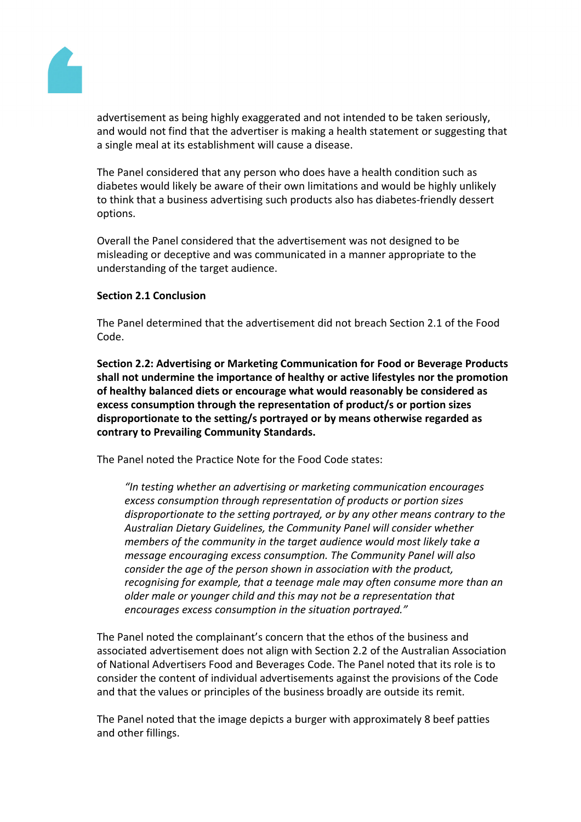

advertisement as being highly exaggerated and not intended to be taken seriously, and would not find that the advertiser is making a health statement or suggesting that a single meal at its establishment will cause a disease.

The Panel considered that any person who does have a health condition such as diabetes would likely be aware of their own limitations and would be highly unlikely to think that a business advertising such products also has diabetes-friendly dessert options.

Overall the Panel considered that the advertisement was not designed to be misleading or deceptive and was communicated in a manner appropriate to the understanding of the target audience.

#### **Section 2.1 Conclusion**

The Panel determined that the advertisement did not breach Section 2.1 of the Food Code.

**Section 2.2: Advertising or Marketing Communication for Food or Beverage Products shall not undermine the importance of healthy or active lifestyles nor the promotion of healthy balanced diets or encourage what would reasonably be considered as excess consumption through the representation of product/s or portion sizes disproportionate to the setting/s portrayed or by means otherwise regarded as contrary to Prevailing Community Standards.**

The Panel noted the Practice Note for the Food Code states:

*"In testing whether an advertising or marketing communication encourages excess consumption through representation of products or portion sizes disproportionate to the setting portrayed, or by any other means contrary to the Australian Dietary Guidelines, the Community Panel will consider whether members of the community in the target audience would most likely take a message encouraging excess consumption. The Community Panel will also consider the age of the person shown in association with the product, recognising for example, that a teenage male may often consume more than an older male or younger child and this may not be a representation that encourages excess consumption in the situation portrayed."*

The Panel noted the complainant's concern that the ethos of the business and associated advertisement does not align with Section 2.2 of the Australian Association of National Advertisers Food and Beverages Code. The Panel noted that its role is to consider the content of individual advertisements against the provisions of the Code and that the values or principles of the business broadly are outside its remit.

The Panel noted that the image depicts a burger with approximately 8 beef patties and other fillings.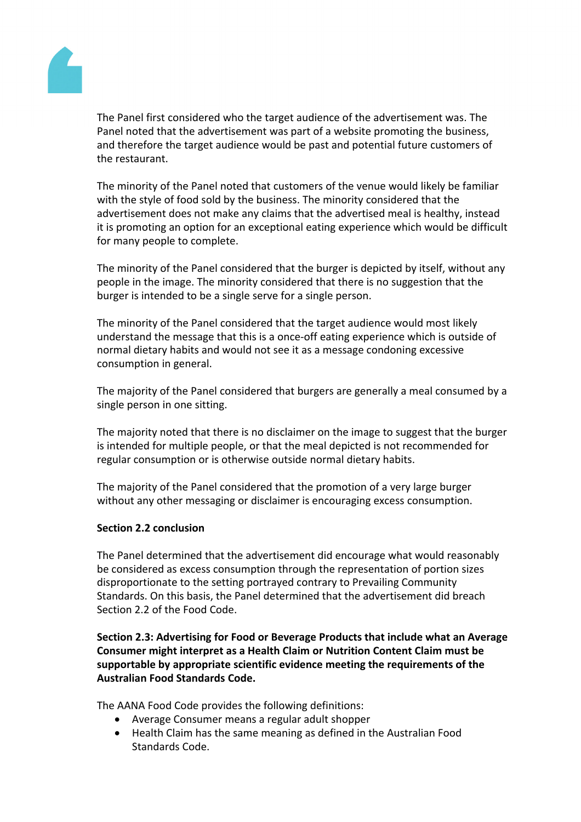

The Panel first considered who the target audience of the advertisement was. The Panel noted that the advertisement was part of a website promoting the business, and therefore the target audience would be past and potential future customers of the restaurant.

The minority of the Panel noted that customers of the venue would likely be familiar with the style of food sold by the business. The minority considered that the advertisement does not make any claims that the advertised meal is healthy, instead it is promoting an option for an exceptional eating experience which would be difficult for many people to complete.

The minority of the Panel considered that the burger is depicted by itself, without any people in the image. The minority considered that there is no suggestion that the burger is intended to be a single serve for a single person.

The minority of the Panel considered that the target audience would most likely understand the message that this is a once-off eating experience which is outside of normal dietary habits and would not see it as a message condoning excessive consumption in general.

The majority of the Panel considered that burgers are generally a meal consumed by a single person in one sitting.

The majority noted that there is no disclaimer on the image to suggest that the burger is intended for multiple people, or that the meal depicted is not recommended for regular consumption or is otherwise outside normal dietary habits.

The majority of the Panel considered that the promotion of a very large burger without any other messaging or disclaimer is encouraging excess consumption.

#### **Section 2.2 conclusion**

The Panel determined that the advertisement did encourage what would reasonably be considered as excess consumption through the representation of portion sizes disproportionate to the setting portrayed contrary to Prevailing Community Standards. On this basis, the Panel determined that the advertisement did breach Section 2.2 of the Food Code.

**Section 2.3: Advertising for Food or Beverage Products that include what an Average Consumer might interpret as a Health Claim or Nutrition Content Claim must be supportable by appropriate scientific evidence meeting the requirements of the Australian Food Standards Code.**

The AANA Food Code provides the following definitions:

- Average Consumer means a regular adult shopper
- Health Claim has the same meaning as defined in the Australian Food Standards Code.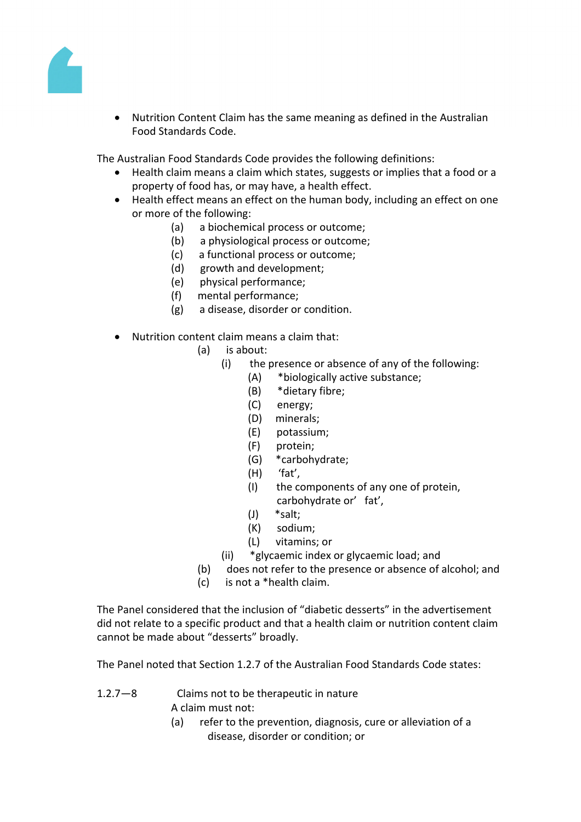

 Nutrition Content Claim has the same meaning as defined in the Australian Food Standards Code.

The Australian Food Standards Code provides the following definitions:

- Health claim means a claim which states, suggests or implies that a food or a property of food has, or may have, a health effect.
- Health effect means an effect on the human body, including an effect on one or more of the following:
	- (a) a biochemical process or outcome;
	- (b) a physiological process or outcome;
	- (c) a functional process or outcome;
	- (d) growth and development;
	- (e) physical performance;
	- (f) mental performance;
	- (g) a disease, disorder or condition.
- Nutrition content claim means a claim that:
	- (a) is about:
		- (i) the presence or absence of any of the following:
			- (A) \*biologically active substance;
			- (B) \*dietary fibre;
			- (C) energy;
			- (D) minerals;
			- (E) potassium;
			- (F) protein;
			- (G) \*carbohydrate;
			- (H) 'fat',
			- (I) the components of any one of protein, carbohydrate or' fat',
			- (J) \*salt;
			- (K) sodium;
			- (L) vitamins; or
		- (ii) \*glycaemic index or glycaemic load; and
	- (b) does not refer to the presence or absence of alcohol; and
	- (c) is not a \*health claim.

The Panel considered that the inclusion of "diabetic desserts" in the advertisement did not relate to a specific product and that a health claim or nutrition content claim cannot be made about "desserts" broadly.

The Panel noted that Section 1.2.7 of the Australian Food Standards Code states:

- 1.2.7—8 Claims not to be therapeutic in nature A claim must not:
	- (a) refer to the prevention, diagnosis, cure or alleviation of a disease, disorder or condition; or